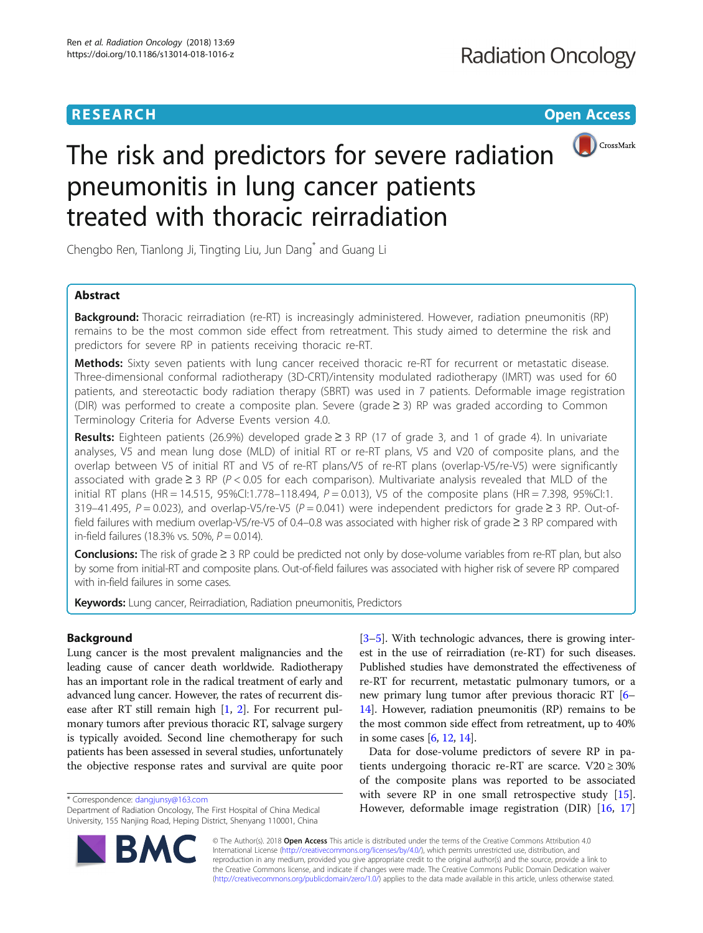# **RESEARCH CHEAR CHEAR CHEAR CHEAR CHEAR CHEAR CHEAR CHEAR CHEAR CHEAR CHEAR CHEAR CHEAR CHEAR CHEAR CHEAR CHEAR**



# The risk and predictors for severe radiation pneumonitis in lung cancer patients treated with thoracic reirradiation

Chengbo Ren, Tianlong Ji, Tingting Liu, Jun Dang\* and Guang Li

# Abstract

Background: Thoracic reirradiation (re-RT) is increasingly administered. However, radiation pneumonitis (RP) remains to be the most common side effect from retreatment. This study aimed to determine the risk and predictors for severe RP in patients receiving thoracic re-RT.

Methods: Sixty seven patients with lung cancer received thoracic re-RT for recurrent or metastatic disease. Three-dimensional conformal radiotherapy (3D-CRT)/intensity modulated radiotherapy (IMRT) was used for 60 patients, and stereotactic body radiation therapy (SBRT) was used in 7 patients. Deformable image registration (DIR) was performed to create a composite plan. Severe (grade ≥ 3) RP was graded according to Common Terminology Criteria for Adverse Events version 4.0.

Results: Eighteen patients (26.9%) developed grade ≥ 3 RP (17 of grade 3, and 1 of grade 4). In univariate analyses, V5 and mean lung dose (MLD) of initial RT or re-RT plans, V5 and V20 of composite plans, and the overlap between V5 of initial RT and V5 of re-RT plans/V5 of re-RT plans (overlap-V5/re-V5) were significantly associated with grade ≥ 3 RP ( $P < 0.05$  for each comparison). Multivariate analysis revealed that MLD of the initial RT plans (HR = 14.515, 95%CI:1.778–118.494,  $P = 0.013$ ), V5 of the composite plans (HR = 7.398, 95%CI:1. 319–41.495,  $P = 0.023$ ), and overlap-V5/re-V5 ( $P = 0.041$ ) were independent predictors for grade  $\geq 3$  RP. Out-offield failures with medium overlap-V5/re-V5 of 0.4–0.8 was associated with higher risk of grade ≥ 3 RP compared with in-field failures (18.3% vs. 50%,  $P = 0.014$ ).

**Conclusions:** The risk of grade  $\geq$  3 RP could be predicted not only by dose-volume variables from re-RT plan, but also by some from initial-RT and composite plans. Out-of-field failures was associated with higher risk of severe RP compared with in-field failures in some cases.

Keywords: Lung cancer, Reirradiation, Radiation pneumonitis, Predictors

# Background

Lung cancer is the most prevalent malignancies and the leading cause of cancer death worldwide. Radiotherapy has an important role in the radical treatment of early and advanced lung cancer. However, the rates of recurrent disease after RT still remain high [\[1,](#page-5-0) [2\]](#page-5-0). For recurrent pulmonary tumors after previous thoracic RT, salvage surgery is typically avoided. Second line chemotherapy for such patients has been assessed in several studies, unfortunately the objective response rates and survival are quite poor



Data for dose-volume predictors of severe RP in patients undergoing thoracic re-RT are scarce.  $V20 \ge 30\%$ of the composite plans was reported to be associated with severe RP in one small retrospective study [\[15](#page-5-0)]. However Are in one sinal retrospective study [10].<br>Department of Radiation Oncology, The First Hospital of China Medical **However, deformable image registration (DIR)** [[16,](#page-5-0) [17](#page-6-0)]



© The Author(s). 2018 Open Access This article is distributed under the terms of the Creative Commons Attribution 4.0 International License [\(http://creativecommons.org/licenses/by/4.0/](http://creativecommons.org/licenses/by/4.0/)), which permits unrestricted use, distribution, and reproduction in any medium, provided you give appropriate credit to the original author(s) and the source, provide a link to the Creative Commons license, and indicate if changes were made. The Creative Commons Public Domain Dedication waiver [\(http://creativecommons.org/publicdomain/zero/1.0/](http://creativecommons.org/publicdomain/zero/1.0/)) applies to the data made available in this article, unless otherwise stated.

Department of Radiation Oncology, The First Hospital of China Medical University, 155 Nanjing Road, Heping District, Shenyang 110001, China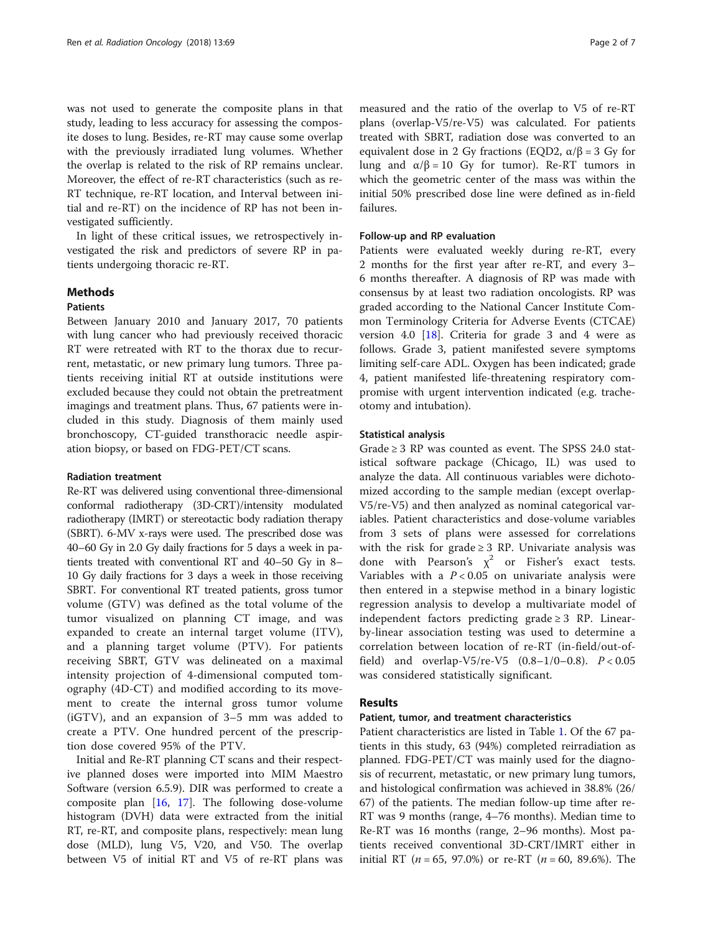was not used to generate the composite plans in that study, leading to less accuracy for assessing the composite doses to lung. Besides, re-RT may cause some overlap with the previously irradiated lung volumes. Whether the overlap is related to the risk of RP remains unclear. Moreover, the effect of re-RT characteristics (such as re-RT technique, re-RT location, and Interval between initial and re-RT) on the incidence of RP has not been investigated sufficiently.

In light of these critical issues, we retrospectively investigated the risk and predictors of severe RP in patients undergoing thoracic re-RT.

# Methods

# Patients

Between January 2010 and January 2017, 70 patients with lung cancer who had previously received thoracic RT were retreated with RT to the thorax due to recurrent, metastatic, or new primary lung tumors. Three patients receiving initial RT at outside institutions were excluded because they could not obtain the pretreatment imagings and treatment plans. Thus, 67 patients were included in this study. Diagnosis of them mainly used bronchoscopy, CT-guided transthoracic needle aspiration biopsy, or based on FDG-PET/CT scans.

## Radiation treatment

Re-RT was delivered using conventional three-dimensional conformal radiotherapy (3D-CRT)/intensity modulated radiotherapy (IMRT) or stereotactic body radiation therapy (SBRT). 6-MV x-rays were used. The prescribed dose was 40–60 Gy in 2.0 Gy daily fractions for 5 days a week in patients treated with conventional RT and 40–50 Gy in 8– 10 Gy daily fractions for 3 days a week in those receiving SBRT. For conventional RT treated patients, gross tumor volume (GTV) was defined as the total volume of the tumor visualized on planning CT image, and was expanded to create an internal target volume (ITV), and a planning target volume (PTV). For patients receiving SBRT, GTV was delineated on a maximal intensity projection of 4-dimensional computed tomography (4D-CT) and modified according to its movement to create the internal gross tumor volume (iGTV), and an expansion of 3–5 mm was added to create a PTV. One hundred percent of the prescription dose covered 95% of the PTV.

Initial and Re-RT planning CT scans and their respective planned doses were imported into MIM Maestro Software (version 6.5.9). DIR was performed to create a composite plan [\[16,](#page-5-0) [17](#page-6-0)]. The following dose-volume histogram (DVH) data were extracted from the initial RT, re-RT, and composite plans, respectively: mean lung dose (MLD), lung V5, V20, and V50. The overlap between V5 of initial RT and V5 of re-RT plans was

measured and the ratio of the overlap to V5 of re-RT plans (overlap-V5/re-V5) was calculated. For patients treated with SBRT, radiation dose was converted to an equivalent dose in 2 Gy fractions (EQD2,  $\alpha/\beta = 3$  Gy for lung and  $α/β = 10$  Gy for tumor). Re-RT tumors in which the geometric center of the mass was within the initial 50% prescribed dose line were defined as in-field failures.

# Follow-up and RP evaluation

Patients were evaluated weekly during re-RT, every 2 months for the first year after re-RT, and every 3– 6 months thereafter. A diagnosis of RP was made with consensus by at least two radiation oncologists. RP was graded according to the National Cancer Institute Common Terminology Criteria for Adverse Events (CTCAE) version 4.0  $[18]$  $[18]$  $[18]$ . Criteria for grade 3 and 4 were as follows. Grade 3, patient manifested severe symptoms limiting self-care ADL. Oxygen has been indicated; grade 4, patient manifested life-threatening respiratory compromise with urgent intervention indicated (e.g. tracheotomy and intubation).

## Statistical analysis

Grade  $\geq$  3 RP was counted as event. The SPSS 24.0 statistical software package (Chicago, IL) was used to analyze the data. All continuous variables were dichotomized according to the sample median (except overlap-V5/re-V5) and then analyzed as nominal categorical variables. Patient characteristics and dose-volume variables from 3 sets of plans were assessed for correlations with the risk for grade  $\geq$  3 RP. Univariate analysis was done with Pearson's  $x^2$  or Fisher's exact tests. Variables with a  $P < 0.05$  on univariate analysis were then entered in a stepwise method in a binary logistic regression analysis to develop a multivariate model of independent factors predicting grade  $\geq$  3 RP. Linearby-linear association testing was used to determine a correlation between location of re-RT (in-field/out-offield) and overlap-V5/re-V5  $(0.8-1/0-0.8)$ .  $P < 0.05$ was considered statistically significant.

# Results

#### Patient, tumor, and treatment characteristics

Patient characteristics are listed in Table [1](#page-2-0). Of the 67 patients in this study, 63 (94%) completed reirradiation as planned. FDG-PET/CT was mainly used for the diagnosis of recurrent, metastatic, or new primary lung tumors, and histological confirmation was achieved in 38.8% (26/ 67) of the patients. The median follow-up time after re-RT was 9 months (range, 4–76 months). Median time to Re-RT was 16 months (range, 2–96 months). Most patients received conventional 3D-CRT/IMRT either in initial RT ( $n = 65$ , 97.0%) or re-RT ( $n = 60$ , 89.6%). The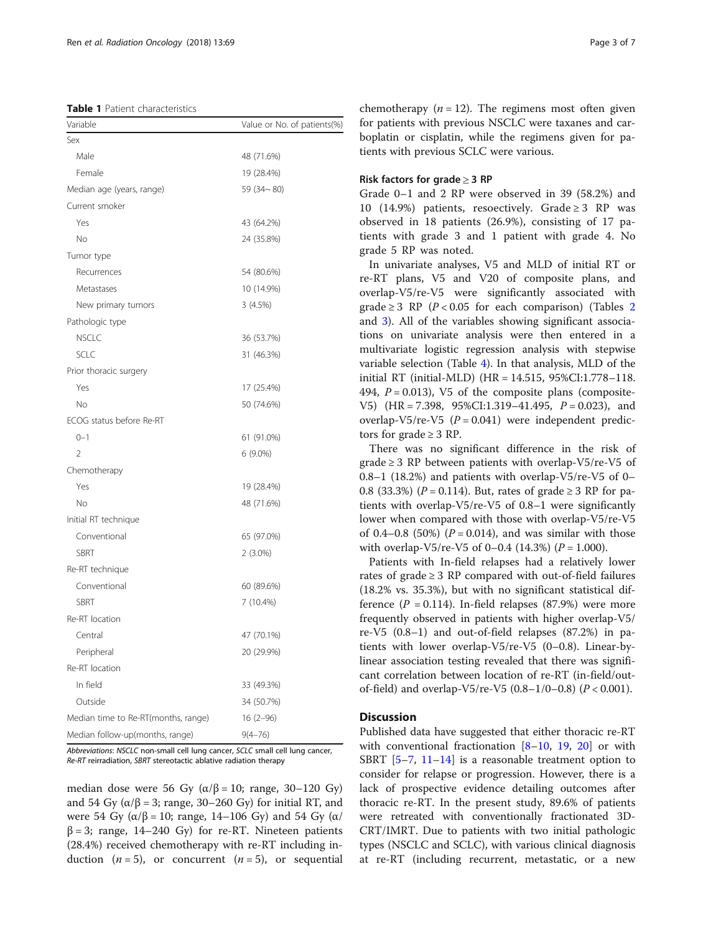<span id="page-2-0"></span>Table 1 Patient characteristics

| Variable                            | Value or No. of patients(%) |
|-------------------------------------|-----------------------------|
| Sex                                 |                             |
| Male                                | 48 (71.6%)                  |
| Female                              | 19 (28.4%)                  |
| Median age (years, range)           | 59 $(34 \sim 80)$           |
| Current smoker                      |                             |
| Yes                                 | 43 (64.2%)                  |
| No                                  | 24 (35.8%)                  |
| Tumor type                          |                             |
| Recurrences                         | 54 (80.6%)                  |
| Metastases                          | 10 (14.9%)                  |
| New primary tumors                  | 3(4.5%)                     |
| Pathologic type                     |                             |
| <b>NSCLC</b>                        | 36 (53.7%)                  |
| <b>SCLC</b>                         | 31 (46.3%)                  |
| Prior thoracic surgery              |                             |
| Yes                                 | 17 (25.4%)                  |
| No                                  | 50 (74.6%)                  |
| ECOG status before Re-RT            |                             |
| $0 - 1$                             | 61 (91.0%)                  |
| 2                                   | $6(9.0\%)$                  |
| Chemotherapy                        |                             |
| Yes                                 | 19 (28.4%)                  |
| No                                  | 48 (71.6%)                  |
| Initial RT technique                |                             |
| Conventional                        | 65 (97.0%)                  |
| <b>SBRT</b>                         | $2(3.0\%)$                  |
| Re-RT technique                     |                             |
| Conventional                        | 60 (89.6%)                  |
| <b>SBRT</b>                         | 7 (10.4%)                   |
| Re-RT location                      |                             |
| Central                             | 47 (70.1%)                  |
| Peripheral                          | 20 (29.9%)                  |
| Re-RT location                      |                             |
| In field                            | 33 (49.3%)                  |
| Outside                             | 34 (50.7%)                  |
| Median time to Re-RT(months, range) | $16(2 - 96)$                |
| Median follow-up(months, range)     | $9(4 - 76)$                 |

Abbreviations: NSCLC non-small cell lung cancer, SCLC small cell lung cancer, Re-RT reirradiation, SBRT stereotactic ablative radiation therapy

median dose were 56 Gy ( $\alpha/\beta$  = 10; range, 30–120 Gy) and 54 Gy ( $\alpha/\beta$  = 3; range, 30–260 Gy) for initial RT, and were 54 Gy ( $\alpha/\beta$  = 10; range, 14–106 Gy) and 54 Gy ( $\alpha$ /  $β = 3$ ; range, 14–240 Gy) for re-RT. Nineteen patients (28.4%) received chemotherapy with re-RT including induction ( $n = 5$ ), or concurrent ( $n = 5$ ), or sequential chemotherapy  $(n = 12)$ . The regimens most often given for patients with previous NSCLC were taxanes and carboplatin or cisplatin, while the regimens given for patients with previous SCLC were various.

## Risk factors for grade  $\geq$  3 RP

Grade 0–1 and 2 RP were observed in 39 (58.2%) and 10 (14.9%) patients, resoectively. Grade  $\geq$  3 RP was observed in 18 patients (26.9%), consisting of 17 patients with grade 3 and 1 patient with grade 4. No grade 5 RP was noted.

In univariate analyses, V5 and MLD of initial RT or re-RT plans, V5 and V20 of composite plans, and overlap-V5/re-V5 were significantly associated with grade  $\geq$  3 RP ( $P$  < 0.05 for each comparison) (Tables [2](#page-3-0) and [3\)](#page-3-0). All of the variables showing significant associations on univariate analysis were then entered in a multivariate logistic regression analysis with stepwise variable selection (Table [4](#page-4-0)). In that analysis, MLD of the initial RT (initial-MLD) (HR = 14.515, 95%CI:1.778–118. 494,  $P = 0.013$ ), V5 of the composite plans (composite-V5) (HR = 7.398, 95%CI:1.319–41.495, P = 0.023), and overlap-V5/re-V5  $(P = 0.041)$  were independent predictors for grade  $\geq 3$  RP.

There was no significant difference in the risk of grade  $\geq$  3 RP between patients with overlap-V5/re-V5 of 0.8–1 (18.2%) and patients with overlap-V5/re-V5 of 0– 0.8 (33.3%) ( $P = 0.114$ ). But, rates of grade  $\geq 3$  RP for patients with overlap-V5/re-V5 of 0.8–1 were significantly lower when compared with those with overlap-V5/re-V5 of 0.4–0.8 (50%) ( $P = 0.014$ ), and was similar with those with overlap-V5/re-V5 of 0–0.4 (14.3%) ( $P = 1.000$ ).

Patients with In-field relapses had a relatively lower rates of grade  $\geq 3$  RP compared with out-of-field failures (18.2% vs. 35.3%), but with no significant statistical difference ( $P = 0.114$ ). In-field relapses (87.9%) were more frequently observed in patients with higher overlap-V5/ re-V5 (0.8–1) and out-of-field relapses (87.2%) in patients with lower overlap-V5/re-V5 (0–0.8). Linear-bylinear association testing revealed that there was significant correlation between location of re-RT (in-field/outof-field) and overlap-V5/re-V5  $(0.8-1/0-0.8)$   $(P < 0.001)$ .

## **Discussion**

Published data have suggested that either thoracic re-RT with conventional fractionation [[8](#page-5-0)–[10,](#page-5-0) [19](#page-6-0), [20](#page-6-0)] or with SBRT  $[5-7, 11-14]$  $[5-7, 11-14]$  $[5-7, 11-14]$  $[5-7, 11-14]$  $[5-7, 11-14]$  $[5-7, 11-14]$  $[5-7, 11-14]$  is a reasonable treatment option to consider for relapse or progression. However, there is a lack of prospective evidence detailing outcomes after thoracic re-RT. In the present study, 89.6% of patients were retreated with conventionally fractionated 3D-CRT/IMRT. Due to patients with two initial pathologic types (NSCLC and SCLC), with various clinical diagnosis at re-RT (including recurrent, metastatic, or a new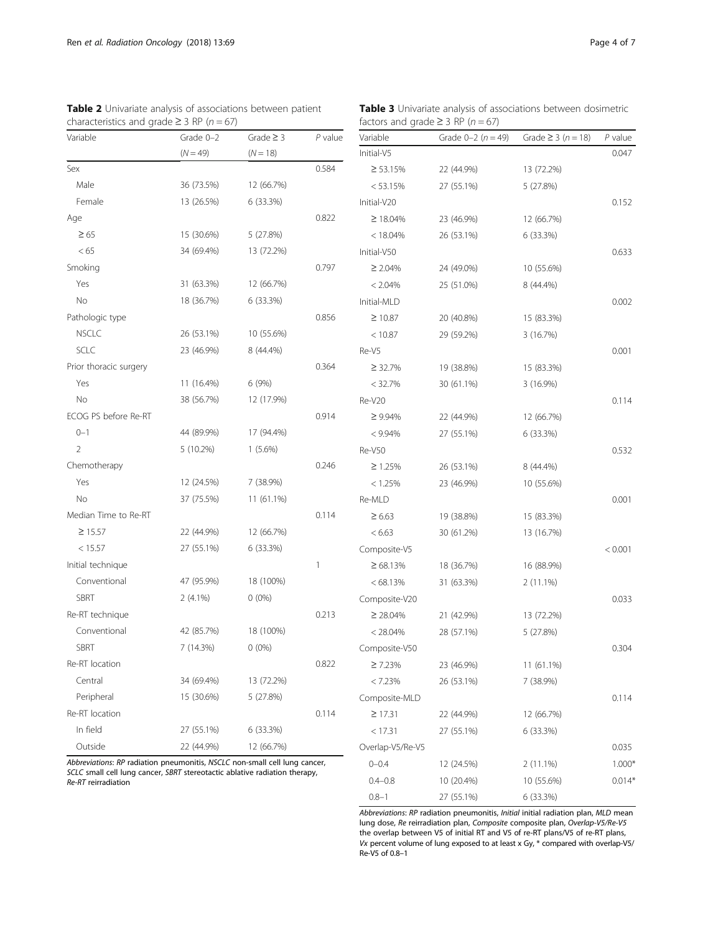| Variable               | Grade 0-2   | Grade $\geq$ 3 | P value |
|------------------------|-------------|----------------|---------|
|                        | $(N = 49)$  | $(N = 18)$     |         |
| Sex                    |             |                | 0.584   |
| Male                   | 36 (73.5%)  | 12 (66.7%)     |         |
| Female                 | 13 (26.5%)  | 6 (33.3%)      |         |
| Age                    |             |                | 0.822   |
| $\geq 65$              | 15 (30.6%)  | 5 (27.8%)      |         |
| < 65                   | 34 (69.4%)  | 13 (72.2%)     |         |
| Smoking                |             |                | 0.797   |
| Yes                    | 31 (63.3%)  | 12 (66.7%)     |         |
| No                     | 18 (36.7%)  | 6 (33.3%)      |         |
| Pathologic type        |             |                | 0.856   |
| <b>NSCLC</b>           | 26 (53.1%)  | 10 (55.6%)     |         |
| <b>SCLC</b>            | 23 (46.9%)  | 8 (44.4%)      |         |
| Prior thoracic surgery |             |                | 0.364   |
| Yes                    | 11 (16.4%)  | 6 (9%)         |         |
| No                     | 38 (56.7%)  | 12 (17.9%)     |         |
| ECOG PS before Re-RT   |             |                | 0.914   |
| $0 - 1$                | 44 (89.9%)  | 17 (94.4%)     |         |
| 2                      | $5(10.2\%)$ | $1(5.6\%)$     |         |
| Chemotherapy           |             |                | 0.246   |
| Yes                    | 12 (24.5%)  | 7 (38.9%)      |         |
| No                     | 37 (75.5%)  | 11 (61.1%)     |         |
| Median Time to Re-RT   |             |                | 0.114   |
| $\geq 15.57$           | 22 (44.9%)  | 12 (66.7%)     |         |
| < 15.57                | 27 (55.1%)  | 6 (33.3%)      |         |
| Initial technique      |             |                | 1       |
| Conventional           | 47 (95.9%)  | 18 (100%)      |         |
| <b>SBRT</b>            | $2(4.1\%)$  | $0(0\%)$       |         |
| Re-RT technique        |             |                | 0.213   |
| Conventional           | 42 (85.7%)  | 18 (100%)      |         |
| <b>SBRT</b>            | 7 (14.3%)   | $0(0\%)$       |         |
| Re-RT location         |             |                | 0.822   |
| Central                | 34 (69.4%)  | 13 (72.2%)     |         |
| Peripheral             | 15 (30.6%)  | 5 (27.8%)      |         |
| Re-RT location         |             |                | 0.114   |
| In field               | 27 (55.1%)  | 6 (33.3%)      |         |
| Outside                | 22 (44.9%)  | 12 (66.7%)     |         |

SCLC small cell lung cancer, SBRT stereotactic ablative radiation therapy,

Re-RT reirradiation

<span id="page-3-0"></span>

| Table 2 Univariate analysis of associations between patient |  |  |
|-------------------------------------------------------------|--|--|
| characteristics and grade $\geq$ 3 RP (n = 67)              |  |  |

|                                                | Table 3 Univariate analysis of associations between dosimetric |  |
|------------------------------------------------|----------------------------------------------------------------|--|
| factors and grade $\geq$ 3 RP ( <i>n</i> = 67) |                                                                |  |

| Variable         | Grade $0 - 2$ ( $n = 49$ ) | Grade $\geq$ 3 ( $n = 18$ ) | $P$ value |
|------------------|----------------------------|-----------------------------|-----------|
| Initial-V5       |                            |                             | 0.047     |
| $\geq 53.15\%$   | 22 (44.9%)                 | 13 (72.2%)                  |           |
| < 53.15%         | 27 (55.1%)                 | 5 (27.8%)                   |           |
| Initial-V20      |                            |                             | 0.152     |
| $\geq 18.04\%$   | 23 (46.9%)                 | 12 (66.7%)                  |           |
| < 18.04%         | 26 (53.1%)                 | 6 (33.3%)                   |           |
| Initial-V50      |                            |                             | 0.633     |
| $\geq 2.04\%$    | 24 (49.0%)                 | 10 (55.6%)                  |           |
| < 2.04%          | 25 (51.0%)                 | 8 (44.4%)                   |           |
| Initial-MLD      |                            |                             | 0.002     |
| $\geq 10.87$     | 20 (40.8%)                 | 15 (83.3%)                  |           |
| < 10.87          | 29 (59.2%)                 | 3 (16.7%)                   |           |
| Re-V5            |                            |                             | 0.001     |
| $\geq 32.7\%$    | 19 (38.8%)                 | 15 (83.3%)                  |           |
| < 32.7%          | 30 (61.1%)                 | 3(16.9%)                    |           |
| Re-V20           |                            |                             | 0.114     |
| $\geq 9.94\%$    | 22 (44.9%)                 | 12 (66.7%)                  |           |
| < 9.94%          | 27 (55.1%)                 | 6 (33.3%)                   |           |
| Re-V50           |                            |                             | 0.532     |
| ≥ 1.25%          | 26 (53.1%)                 | 8 (44.4%)                   |           |
| < 1.25%          | 23 (46.9%)                 | 10 (55.6%)                  |           |
| Re-MLD           |                            |                             | 0.001     |
| $\geq 6.63$      | 19 (38.8%)                 | 15 (83.3%)                  |           |
| < 6.63           | 30 (61.2%)                 | 13 (16.7%)                  |           |
| Composite-V5     |                            |                             | < 0.001   |
| ≥ 68.13%         | 18 (36.7%)                 | 16 (88.9%)                  |           |
| $<68.13\%$       | 31 (63.3%)                 | $2(11.1\%)$                 |           |
| Composite-V20    |                            |                             | 0.033     |
| $\geq$ 28.04%    | 21 (42.9%)                 | 13 (72.2%)                  |           |
| $< 28.04\%$      | 28 (57.1%)                 | 5 (27.8%)                   |           |
| Composite-V50    |                            |                             | 0.304     |
| $\geq 7.23\%$    | 23 (46.9%)                 | 11 (61.1%)                  |           |
| < 7.23%          | 26 (53.1%)                 | 7 (38.9%)                   |           |
| Composite-MLD    |                            |                             | 0.114     |
| $\geq 17.31$     | 22 (44.9%)                 | 12 (66.7%)                  |           |
| < 17.31          | 27 (55.1%)                 | 6 (33.3%)                   |           |
| Overlap-V5/Re-V5 |                            |                             | 0.035     |
| $0 - 0.4$        | 12 (24.5%)                 | $2(11.1\%)$                 | $1.000*$  |
| $0.4 - 0.8$      | 10 (20.4%)                 | 10 (55.6%)                  | $0.014*$  |
| $0.8 - 1$        | 27 (55.1%)                 | 6 (33.3%)                   |           |

Abbreviations: RP radiation pneumonitis, Initial initial radiation plan, MLD mean lung dose, Re reirradiation plan, Composite composite plan, Overlap-V5/Re-V5 the overlap between V5 of initial RT and V5 of re-RT plans/V5 of re-RT plans, Vx percent volume of lung exposed to at least x Gy, \* compared with overlap-V5/ Re-V5 of 0.8–1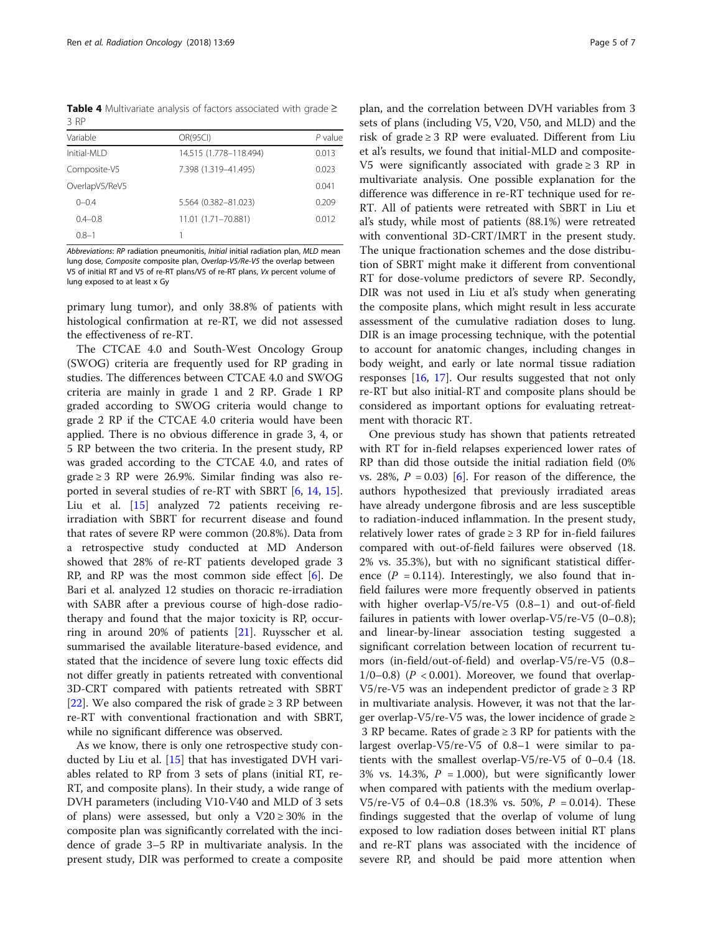<span id="page-4-0"></span>Table 4 Multivariate analysis of factors associated with grade ≥ 3 RP

| Variable       | OR(95CI)               | P value |
|----------------|------------------------|---------|
| Initial-MI D   | 14.515 (1.778-118.494) | 0.013   |
| Composite-V5   | 7.398 (1.319-41.495)   | 0.023   |
| OverlapV5/ReV5 |                        | 0.041   |
| $0 - 0.4$      | 5.564 (0.382-81.023)   | 0.209   |
| $0.4 - 0.8$    | 11.01 (1.71-70.881)    | 0.012   |
| $0.8 - 1$      |                        |         |
|                |                        |         |

Abbreviations: RP radiation pneumonitis, Initial initial radiation plan, MLD mean lung dose, Composite composite plan, Overlap-V5/Re-V5 the overlap between V5 of initial RT and V5 of re-RT plans/V5 of re-RT plans, Vx percent volume of lung exposed to at least x Gy

primary lung tumor), and only 38.8% of patients with histological confirmation at re-RT, we did not assessed the effectiveness of re-RT.

The CTCAE 4.0 and South-West Oncology Group (SWOG) criteria are frequently used for RP grading in studies. The differences between CTCAE 4.0 and SWOG criteria are mainly in grade 1 and 2 RP. Grade 1 RP graded according to SWOG criteria would change to grade 2 RP if the CTCAE 4.0 criteria would have been applied. There is no obvious difference in grade 3, 4, or 5 RP between the two criteria. In the present study, RP was graded according to the CTCAE 4.0, and rates of grade ≥ 3 RP were 26.9%. Similar finding was also reported in several studies of re-RT with SBRT [[6,](#page-5-0) [14](#page-5-0), [15](#page-5-0)]. Liu et al. [\[15](#page-5-0)] analyzed 72 patients receiving reirradiation with SBRT for recurrent disease and found that rates of severe RP were common (20.8%). Data from a retrospective study conducted at MD Anderson showed that 28% of re-RT patients developed grade 3 RP, and RP was the most common side effect  $[6]$ . De Bari et al. analyzed 12 studies on thoracic re-irradiation with SABR after a previous course of high-dose radiotherapy and found that the major toxicity is RP, occurring in around 20% of patients [[21\]](#page-6-0). Ruysscher et al. summarised the available literature-based evidence, and stated that the incidence of severe lung toxic effects did not differ greatly in patients retreated with conventional 3D-CRT compared with patients retreated with SBRT [[22\]](#page-6-0). We also compared the risk of grade  $\geq$  3 RP between re-RT with conventional fractionation and with SBRT, while no significant difference was observed.

As we know, there is only one retrospective study conducted by Liu et al. [\[15](#page-5-0)] that has investigated DVH variables related to RP from 3 sets of plans (initial RT, re-RT, and composite plans). In their study, a wide range of DVH parameters (including V10-V40 and MLD of 3 sets of plans) were assessed, but only a  $V20 \ge 30\%$  in the composite plan was significantly correlated with the incidence of grade 3–5 RP in multivariate analysis. In the present study, DIR was performed to create a composite

plan, and the correlation between DVH variables from 3 sets of plans (including V5, V20, V50, and MLD) and the risk of grade  $\geq 3$  RP were evaluated. Different from Liu et al's results, we found that initial-MLD and composite-V5 were significantly associated with grade  $\geq$  3 RP in multivariate analysis. One possible explanation for the difference was difference in re-RT technique used for re-RT. All of patients were retreated with SBRT in Liu et al's study, while most of patients (88.1%) were retreated with conventional 3D-CRT/IMRT in the present study. The unique fractionation schemes and the dose distribution of SBRT might make it different from conventional RT for dose-volume predictors of severe RP. Secondly, DIR was not used in Liu et al's study when generating the composite plans, which might result in less accurate assessment of the cumulative radiation doses to lung. DIR is an image processing technique, with the potential to account for anatomic changes, including changes in body weight, and early or late normal tissue radiation responses [[16,](#page-5-0) [17\]](#page-6-0). Our results suggested that not only re-RT but also initial-RT and composite plans should be considered as important options for evaluating retreatment with thoracic RT.

One previous study has shown that patients retreated with RT for in-field relapses experienced lower rates of RP than did those outside the initial radiation field (0% vs. 28%,  $P = 0.03$  [[6\]](#page-5-0). For reason of the difference, the authors hypothesized that previously irradiated areas have already undergone fibrosis and are less susceptible to radiation-induced inflammation. In the present study, relatively lower rates of grade  $\geq$  3 RP for in-field failures compared with out-of-field failures were observed (18. 2% vs. 35.3%), but with no significant statistical difference  $(P = 0.114)$ . Interestingly, we also found that infield failures were more frequently observed in patients with higher overlap-V5/re-V5 (0.8–1) and out-of-field failures in patients with lower overlap-V5/re-V5 (0–0.8); and linear-by-linear association testing suggested a significant correlation between location of recurrent tumors (in-field/out-of-field) and overlap-V5/re-V5 (0.8–  $1/0-0.8$ ) ( $P < 0.001$ ). Moreover, we found that overlap-V5/re-V5 was an independent predictor of grade  $\geq 3$  RP in multivariate analysis. However, it was not that the larger overlap-V5/re-V5 was, the lower incidence of grade  $\geq$ 3 RP became. Rates of grade ≥ 3 RP for patients with the largest overlap-V5/re-V5 of 0.8–1 were similar to patients with the smallest overlap-V5/re-V5 of 0–0.4 (18. 3% vs. 14.3%,  $P = 1.000$ , but were significantly lower when compared with patients with the medium overlap-V5/re-V5 of 0.4–0.8 (18.3% vs. 50%,  $P = 0.014$ ). These findings suggested that the overlap of volume of lung exposed to low radiation doses between initial RT plans and re-RT plans was associated with the incidence of severe RP, and should be paid more attention when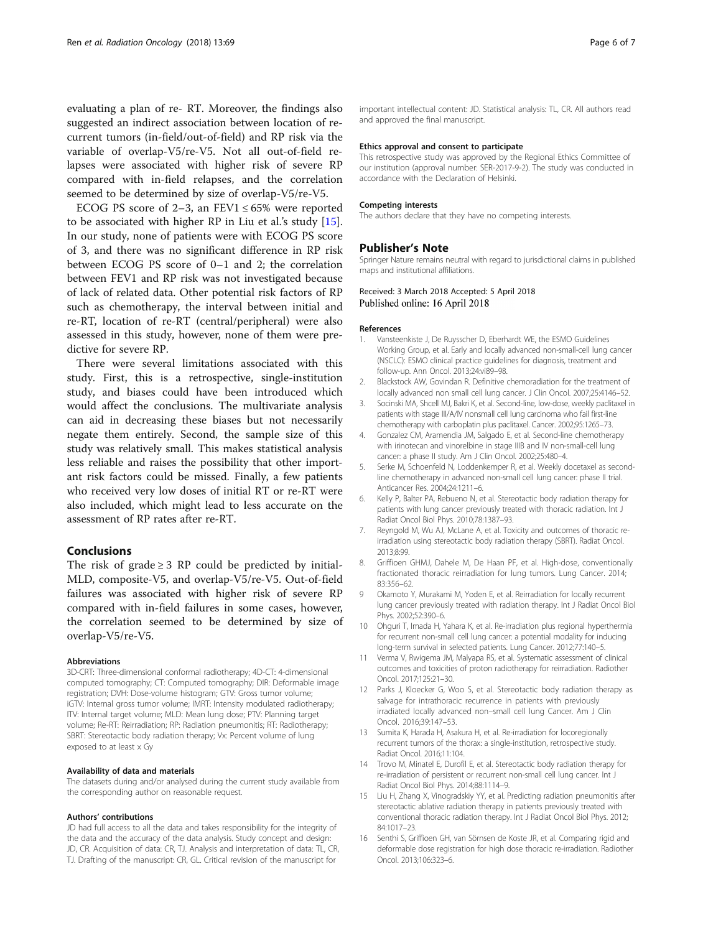<span id="page-5-0"></span>evaluating a plan of re- RT. Moreover, the findings also suggested an indirect association between location of recurrent tumors (in-field/out-of-field) and RP risk via the variable of overlap-V5/re-V5. Not all out-of-field relapses were associated with higher risk of severe RP compared with in-field relapses, and the correlation seemed to be determined by size of overlap-V5/re-V5.

ECOG PS score of 2–3, an FEV1  $\leq 65\%$  were reported to be associated with higher RP in Liu et al.'s study [15]. In our study, none of patients were with ECOG PS score of 3, and there was no significant difference in RP risk between ECOG PS score of 0–1 and 2; the correlation between FEV1 and RP risk was not investigated because of lack of related data. Other potential risk factors of RP such as chemotherapy, the interval between initial and re-RT, location of re-RT (central/peripheral) were also assessed in this study, however, none of them were predictive for severe RP.

There were several limitations associated with this study. First, this is a retrospective, single-institution study, and biases could have been introduced which would affect the conclusions. The multivariate analysis can aid in decreasing these biases but not necessarily negate them entirely. Second, the sample size of this study was relatively small. This makes statistical analysis less reliable and raises the possibility that other important risk factors could be missed. Finally, a few patients who received very low doses of initial RT or re-RT were also included, which might lead to less accurate on the assessment of RP rates after re-RT.

## Conclusions

The risk of grade  $\geq$  3 RP could be predicted by initial-MLD, composite-V5, and overlap-V5/re-V5. Out-of-field failures was associated with higher risk of severe RP compared with in-field failures in some cases, however, the correlation seemed to be determined by size of overlap-V5/re-V5.

#### Abbreviations

3D-CRT: Three-dimensional conformal radiotherapy; 4D-CT: 4-dimensional computed tomography; CT: Computed tomography; DIR: Deformable image registration; DVH: Dose-volume histogram; GTV: Gross tumor volume; iGTV: Internal gross tumor volume; IMRT: Intensity modulated radiotherapy; ITV: Internal target volume; MLD: Mean lung dose; PTV: Planning target volume; Re-RT: Reirradiation; RP: Radiation pneumonitis; RT: Radiotherapy; SBRT: Stereotactic body radiation therapy; Vx: Percent volume of lung exposed to at least x Gy

#### Availability of data and materials

The datasets during and/or analysed during the current study available from the corresponding author on reasonable request.

#### Authors' contributions

JD had full access to all the data and takes responsibility for the integrity of the data and the accuracy of the data analysis. Study concept and design: JD, CR. Acquisition of data: CR, TJ. Analysis and interpretation of data: TL, CR, TJ. Drafting of the manuscript: CR, GL. Critical revision of the manuscript for

important intellectual content: JD. Statistical analysis: TL, CR. All authors read and approved the final manuscript.

#### Ethics approval and consent to participate

This retrospective study was approved by the Regional Ethics Committee of our institution (approval number: SER-2017-9-2). The study was conducted in accordance with the Declaration of Helsinki.

#### Competing interests

The authors declare that they have no competing interests.

#### Publisher's Note

Springer Nature remains neutral with regard to jurisdictional claims in published maps and institutional affiliations.

## Received: 3 March 2018 Accepted: 5 April 2018 Published online: 16 April 2018

#### References

- 1. Vansteenkiste J, De Ruysscher D, Eberhardt WE, the ESMO Guidelines Working Group, et al. Early and locally advanced non-small-cell lung cancer (NSCLC): ESMO clinical practice guidelines for diagnosis, treatment and follow-up. Ann Oncol. 2013;24:vi89–98.
- 2. Blackstock AW, Govindan R. Definitive chemoradiation for the treatment of locally advanced non small cell lung cancer. J Clin Oncol. 2007;25:4146–52.
- 3. Socinski MA, Shcell MJ, Bakri K, et al. Second-line, low-dose, weekly paclitaxel in patients with stage III/A/IV nonsmall cell lung carcinoma who fail first-line chemotherapy with carboplatin plus paclitaxel. Cancer. 2002;95:1265–73.
- 4. Gonzalez CM, Aramendia JM, Salgado E, et al. Second-line chemotherapy with irinotecan and vinorelbine in stage IIIB and IV non-small-cell lung cancer: a phase II study. Am J Clin Oncol. 2002;25:480–4.
- Serke M, Schoenfeld N, Loddenkemper R, et al. Weekly docetaxel as secondline chemotherapy in advanced non-small cell lung cancer: phase II trial. Anticancer Res. 2004;24:1211–6.
- 6. Kelly P, Balter PA, Rebueno N, et al. Stereotactic body radiation therapy for patients with lung cancer previously treated with thoracic radiation. Int J Radiat Oncol Biol Phys. 2010;78:1387–93.
- 7. Reyngold M, Wu AJ, McLane A, et al. Toxicity and outcomes of thoracic reirradiation using stereotactic body radiation therapy (SBRT). Radiat Oncol. 2013;8:99.
- 8. Griffioen GHMJ, Dahele M, De Haan PF, et al. High-dose, conventionally fractionated thoracic reirradiation for lung tumors. Lung Cancer, 2014: 83:356–62.
- 9 Okamoto Y, Murakami M, Yoden E, et al. Reirradiation for locally recurrent lung cancer previously treated with radiation therapy. Int J Radiat Oncol Biol Phys. 2002;52:390–6.
- 10 Ohguri T, Imada H, Yahara K, et al. Re-irradiation plus regional hyperthermia for recurrent non-small cell lung cancer: a potential modality for inducing long-term survival in selected patients. Lung Cancer. 2012;77:140–5.
- 11 Verma V, Rwigema JM, Malyapa RS, et al. Systematic assessment of clinical outcomes and toxicities of proton radiotherapy for reirradiation. Radiother Oncol. 2017;125:21–30.
- 12 Parks J, Kloecker G, Woo S, et al. Stereotactic body radiation therapy as salvage for intrathoracic recurrence in patients with previously irradiated locally advanced non–small cell lung Cancer. Am J Clin Oncol. 2016;39:147–53.
- 13 Sumita K, Harada H, Asakura H, et al. Re-irradiation for locoregionally recurrent tumors of the thorax: a single-institution, retrospective study. Radiat Oncol. 2016;11:104.
- 14 Trovo M, Minatel E, Durofil E, et al. Stereotactic body radiation therapy for re-irradiation of persistent or recurrent non-small cell lung cancer. Int J Radiat Oncol Biol Phys. 2014;88:1114–9.
- 15 Liu H, Zhang X, Vinogradskiy YY, et al. Predicting radiation pneumonitis after stereotactic ablative radiation therapy in patients previously treated with conventional thoracic radiation therapy. Int J Radiat Oncol Biol Phys. 2012; 84:1017–23.
- 16 Senthi S, Griffioen GH, van Sörnsen de Koste JR, et al. Comparing rigid and deformable dose registration for high dose thoracic re-irradiation. Radiother Oncol. 2013;106:323–6.